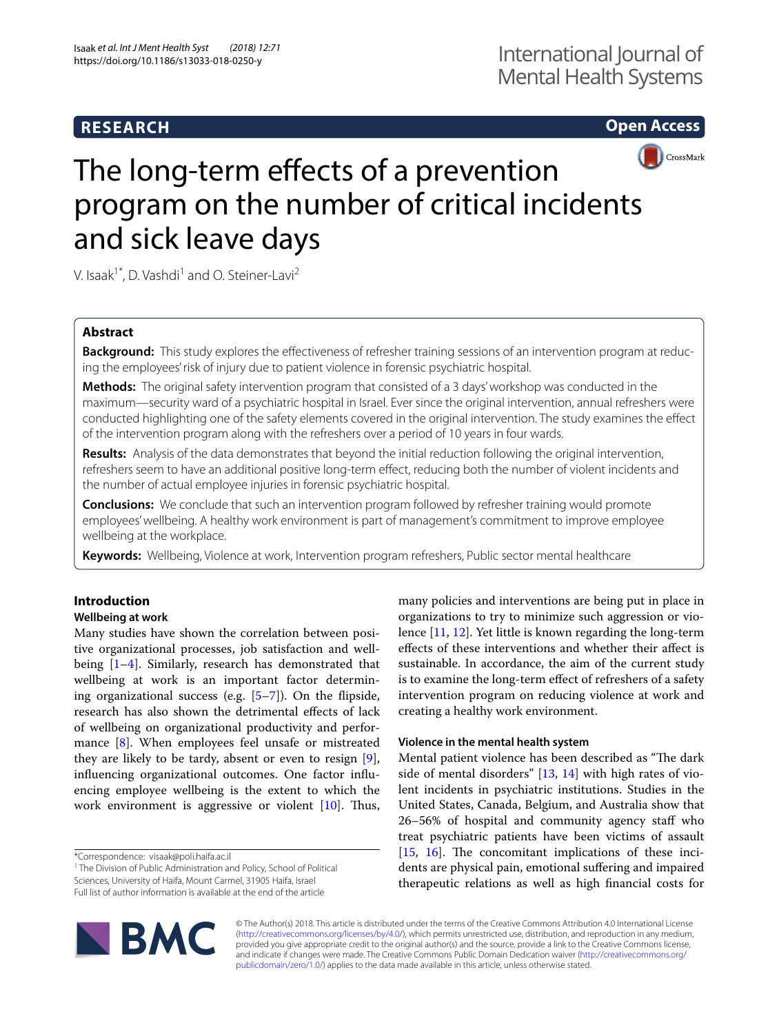## **RESEARCH**

**Open Access**



# The long-term effects of a prevention program on the number of critical incidents and sick leave days

V. Isaak<sup>1\*</sup>, D. Vashdi<sup>1</sup> and O. Steiner-Lavi<sup>2</sup>

## **Abstract**

**Background:** This study explores the effectiveness of refresher training sessions of an intervention program at reducing the employees' risk of injury due to patient violence in forensic psychiatric hospital.

**Methods:** The original safety intervention program that consisted of a 3 days' workshop was conducted in the maximum—security ward of a psychiatric hospital in Israel. Ever since the original intervention, annual refreshers were conducted highlighting one of the safety elements covered in the original intervention. The study examines the efect of the intervention program along with the refreshers over a period of 10 years in four wards.

**Results:** Analysis of the data demonstrates that beyond the initial reduction following the original intervention, refreshers seem to have an additional positive long-term efect, reducing both the number of violent incidents and the number of actual employee injuries in forensic psychiatric hospital.

**Conclusions:** We conclude that such an intervention program followed by refresher training would promote employees' wellbeing. A healthy work environment is part of management's commitment to improve employee wellbeing at the workplace.

**Keywords:** Wellbeing, Violence at work, Intervention program refreshers, Public sector mental healthcare

## **Introduction**

## **Wellbeing at work**

Many studies have shown the correlation between positive organizational processes, job satisfaction and wellbeing [[1–](#page-3-0)[4\]](#page-3-1). Similarly, research has demonstrated that wellbeing at work is an important factor determining organizational success (e.g. [\[5](#page-3-2)[–7](#page-3-3)]). On the fipside, research has also shown the detrimental efects of lack of wellbeing on organizational productivity and performance [\[8](#page-3-4)]. When employees feel unsafe or mistreated they are likely to be tardy, absent or even to resign [\[9](#page-4-0)], infuencing organizational outcomes. One factor infuencing employee wellbeing is the extent to which the work environment is aggressive or violent  $[10]$  $[10]$ . Thus,

\*Correspondence: visaak@poli.haifa.ac.il

<sup>1</sup> The Division of Public Administration and Policy, School of Political Sciences, University of Haifa, Mount Carmel, 31905 Haifa, Israel

Full list of author information is available at the end of the article



many policies and interventions are being put in place in organizations to try to minimize such aggression or violence [[11,](#page-4-2) [12](#page-4-3)]. Yet little is known regarding the long-term efects of these interventions and whether their afect is sustainable. In accordance, the aim of the current study is to examine the long-term efect of refreshers of a safety intervention program on reducing violence at work and creating a healthy work environment.

## **Violence in the mental health system**

Mental patient violence has been described as "The dark side of mental disorders"  $[13, 14]$  $[13, 14]$  $[13, 14]$  $[13, 14]$  with high rates of violent incidents in psychiatric institutions. Studies in the United States, Canada, Belgium, and Australia show that 26–56% of hospital and community agency staff who treat psychiatric patients have been victims of assault  $[15, 16]$  $[15, 16]$  $[15, 16]$  $[15, 16]$  $[15, 16]$ . The concomitant implications of these incidents are physical pain, emotional sufering and impaired therapeutic relations as well as high fnancial costs for

© The Author(s) 2018. This article is distributed under the terms of the Creative Commons Attribution 4.0 International License [\(http://creativecommons.org/licenses/by/4.0/\)](http://creativecommons.org/licenses/by/4.0/), which permits unrestricted use, distribution, and reproduction in any medium, provided you give appropriate credit to the original author(s) and the source, provide a link to the Creative Commons license, and indicate if changes were made. The Creative Commons Public Domain Dedication waiver ([http://creativecommons.org/](http://creativecommons.org/publicdomain/zero/1.0/) [publicdomain/zero/1.0/](http://creativecommons.org/publicdomain/zero/1.0/)) applies to the data made available in this article, unless otherwise stated.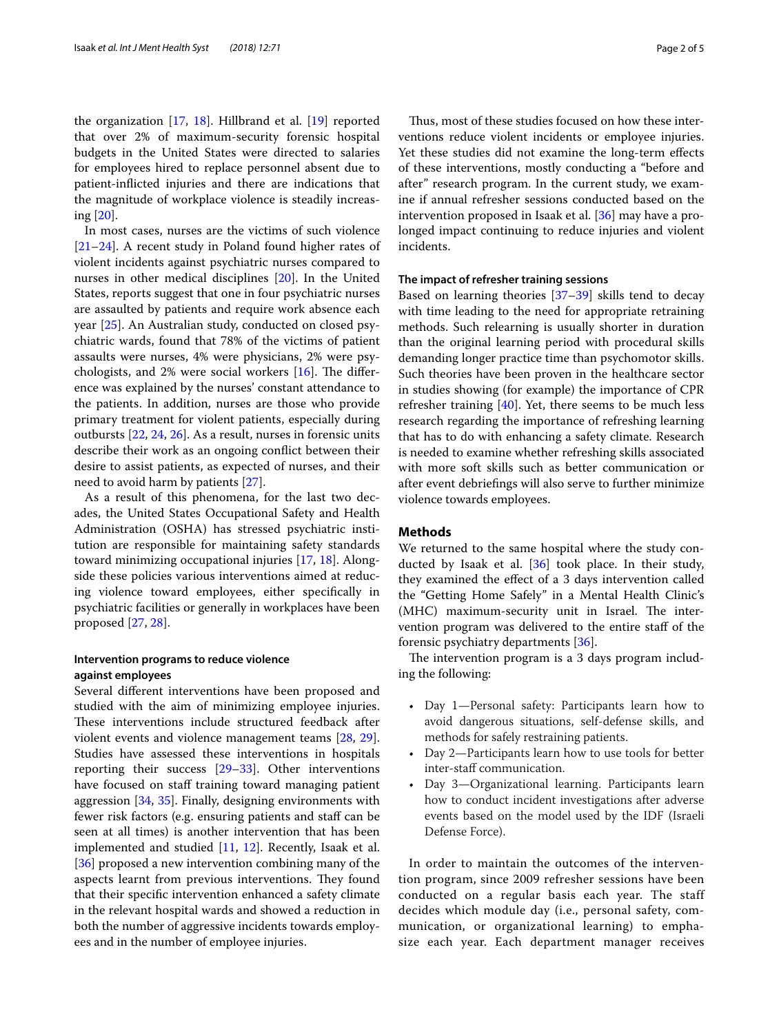the organization [\[17,](#page-4-8) [18\]](#page-4-9). Hillbrand et al. [\[19\]](#page-4-10) reported that over 2% of maximum-security forensic hospital budgets in the United States were directed to salaries for employees hired to replace personnel absent due to patient-inficted injuries and there are indications that the magnitude of workplace violence is steadily increasing [[20\]](#page-4-11).

In most cases, nurses are the victims of such violence [[21–](#page-4-12)[24](#page-4-13)]. A recent study in Poland found higher rates of violent incidents against psychiatric nurses compared to nurses in other medical disciplines [[20\]](#page-4-11). In the United States, reports suggest that one in four psychiatric nurses are assaulted by patients and require work absence each year [[25\]](#page-4-14). An Australian study, conducted on closed psychiatric wards, found that 78% of the victims of patient assaults were nurses, 4% were physicians, 2% were psychologists, and 2% were social workers  $[16]$  $[16]$  $[16]$ . The difference was explained by the nurses' constant attendance to the patients. In addition, nurses are those who provide primary treatment for violent patients, especially during outbursts [\[22,](#page-4-15) [24](#page-4-13), [26\]](#page-4-16). As a result, nurses in forensic units describe their work as an ongoing confict between their desire to assist patients, as expected of nurses, and their need to avoid harm by patients [\[27\]](#page-4-17).

As a result of this phenomena, for the last two decades, the United States Occupational Safety and Health Administration (OSHA) has stressed psychiatric institution are responsible for maintaining safety standards toward minimizing occupational injuries [[17](#page-4-8), [18](#page-4-9)]. Alongside these policies various interventions aimed at reducing violence toward employees, either specifcally in psychiatric facilities or generally in workplaces have been proposed [[27](#page-4-17), [28\]](#page-4-18).

## **Intervention programs to reduce violence against employees**

Several diferent interventions have been proposed and studied with the aim of minimizing employee injuries. These interventions include structured feedback after violent events and violence management teams [[28,](#page-4-18) [29](#page-4-19)]. Studies have assessed these interventions in hospitals reporting their success [\[29](#page-4-19)[–33](#page-4-20)]. Other interventions have focused on staff training toward managing patient aggression [[34,](#page-4-21) [35\]](#page-4-22). Finally, designing environments with fewer risk factors (e.g. ensuring patients and staf can be seen at all times) is another intervention that has been implemented and studied [\[11](#page-4-2), [12\]](#page-4-3). Recently, Isaak et al. [[36\]](#page-4-23) proposed a new intervention combining many of the aspects learnt from previous interventions. They found that their specifc intervention enhanced a safety climate in the relevant hospital wards and showed a reduction in both the number of aggressive incidents towards employees and in the number of employee injuries.

Thus, most of these studies focused on how these interventions reduce violent incidents or employee injuries. Yet these studies did not examine the long-term efects of these interventions, mostly conducting a "before and after" research program. In the current study, we examine if annual refresher sessions conducted based on the intervention proposed in Isaak et al. [[36\]](#page-4-23) may have a prolonged impact continuing to reduce injuries and violent incidents.

#### **The impact of refresher training sessions**

Based on learning theories [[37](#page-4-24)[–39](#page-4-25)] skills tend to decay with time leading to the need for appropriate retraining methods. Such relearning is usually shorter in duration than the original learning period with procedural skills demanding longer practice time than psychomotor skills. Such theories have been proven in the healthcare sector in studies showing (for example) the importance of CPR refresher training [\[40](#page-4-26)]. Yet, there seems to be much less research regarding the importance of refreshing learning that has to do with enhancing a safety climate. Research is needed to examine whether refreshing skills associated with more soft skills such as better communication or after event debriefngs will also serve to further minimize violence towards employees.

### **Methods**

We returned to the same hospital where the study conducted by Isaak et al. [[36](#page-4-23)] took place. In their study, they examined the efect of a 3 days intervention called the "Getting Home Safely" in a Mental Health Clinic's (MHC) maximum-security unit in Israel. The intervention program was delivered to the entire staf of the forensic psychiatry departments [[36](#page-4-23)].

The intervention program is a 3 days program including the following:

- Day 1—Personal safety: Participants learn how to avoid dangerous situations, self-defense skills, and methods for safely restraining patients.
- Day 2—Participants learn how to use tools for better inter-staff communication.
- Day 3—Organizational learning. Participants learn how to conduct incident investigations after adverse events based on the model used by the IDF (Israeli Defense Force).

In order to maintain the outcomes of the intervention program, since 2009 refresher sessions have been conducted on a regular basis each year. The staff decides which module day (i.e., personal safety, communication, or organizational learning) to emphasize each year. Each department manager receives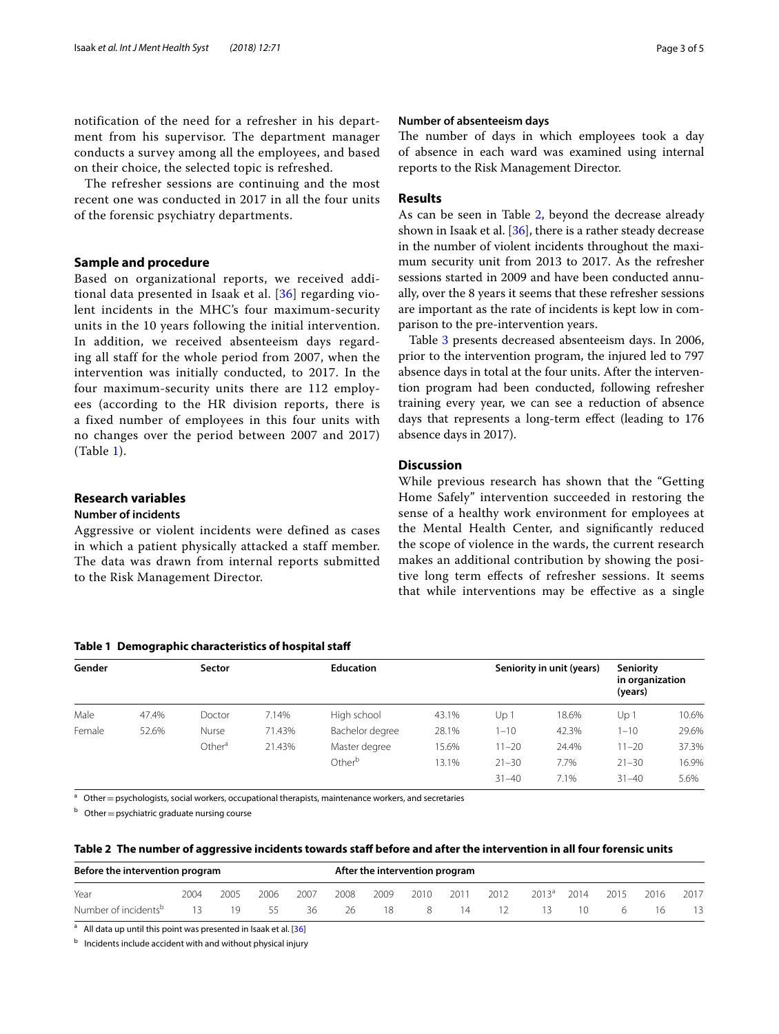notification of the need for a refresher in his department from his supervisor. The department manager conducts a survey among all the employees, and based on their choice, the selected topic is refreshed.

The refresher sessions are continuing and the most recent one was conducted in 2017 in all the four units of the forensic psychiatry departments.

## **Sample and procedure**

Based on organizational reports, we received additional data presented in Isaak et al. [[36\]](#page-4-23) regarding violent incidents in the MHC's four maximum-security units in the 10 years following the initial intervention. In addition, we received absenteeism days regarding all staff for the whole period from 2007, when the intervention was initially conducted, to 2017. In the four maximum-security units there are 112 employees (according to the HR division reports, there is a fixed number of employees in this four units with no changes over the period between 2007 and 2017) (Table [1](#page-2-0)).

## **Research variables**

## **Number of incidents**

Aggressive or violent incidents were defined as cases in which a patient physically attacked a staff member. The data was drawn from internal reports submitted to the Risk Management Director.

#### <span id="page-2-0"></span>**Table 1 Demographic characteristics of hospital staf**

| Gender | Sector |                    |        | <b>Education</b>   |       |           | Seniority in unit (years) | Seniority<br>in organization<br>(years) |       |
|--------|--------|--------------------|--------|--------------------|-------|-----------|---------------------------|-----------------------------------------|-------|
| Male   | 47.4%  | Doctor             | 7.14%  | High school        | 43.1% | Up 1      | 18.6%                     | Up 1                                    | 10.6% |
| Female | 52.6%  | Nurse              | 71.43% | Bachelor degree    | 28.1% | $1 - 10$  | 42.3%                     | $1 - 10$                                | 29.6% |
|        |        | Other <sup>a</sup> | 21.43% | Master degree      | 15.6% | $11 - 20$ | 24.4%                     | $11 - 20$                               | 37.3% |
|        |        |                    |        | Other <sup>b</sup> | 13.1% | $21 - 30$ | 7.7%                      | $21 - 30$                               | 16.9% |
|        |        |                    |        |                    |       | $31 - 40$ | 7.1%                      | $31 - 40$                               | 5.6%  |

 $a$  Other = psychologists, social workers, occupational therapists, maintenance workers, and secretaries

 $b$  Other = psychiatric graduate nursing course

<span id="page-2-1"></span>

|  |  |  | Table 2 The number of aggressive incidents towards staff before and after the intervention in all four forensic units |  |
|--|--|--|-----------------------------------------------------------------------------------------------------------------------|--|
|--|--|--|-----------------------------------------------------------------------------------------------------------------------|--|

| Before the intervention program  | After the intervention program |      |      |      |      |      |      |      |      |          |      |      |      |      |
|----------------------------------|--------------------------------|------|------|------|------|------|------|------|------|----------|------|------|------|------|
| Year                             | 2004                           | 2005 | 2006 | 2007 | 2008 | 2009 | 2010 | 2011 | 2012 | $2013^a$ | 2014 | 2015 | 2016 | 2017 |
| Number of incidents <sup>b</sup> |                                | 19   | 55   | 36   | 26   | 18   | -8   | 14   | 12.  | 13.      | 10   | h    | 16   |      |

<sup>a</sup> All data up until this point was presented in Isaak et al. [[36](#page-4-23)]

**b** Incidents include accident with and without physical injury

#### **Number of absenteeism days**

The number of days in which employees took a day of absence in each ward was examined using internal reports to the Risk Management Director.

## **Results**

As can be seen in Table [2](#page-2-1), beyond the decrease already shown in Isaak et al. [[36\]](#page-4-23), there is a rather steady decrease in the number of violent incidents throughout the maximum security unit from 2013 to 2017. As the refresher sessions started in 2009 and have been conducted annually, over the 8 years it seems that these refresher sessions are important as the rate of incidents is kept low in comparison to the pre-intervention years.

Table [3](#page-3-5) presents decreased absenteeism days. In 2006, prior to the intervention program, the injured led to 797 absence days in total at the four units. After the intervention program had been conducted, following refresher training every year, we can see a reduction of absence days that represents a long-term efect (leading to 176 absence days in 2017).

## **Discussion**

While previous research has shown that the "Getting Home Safely" intervention succeeded in restoring the sense of a healthy work environment for employees at the Mental Health Center, and signifcantly reduced the scope of violence in the wards, the current research makes an additional contribution by showing the positive long term efects of refresher sessions. It seems that while interventions may be efective as a single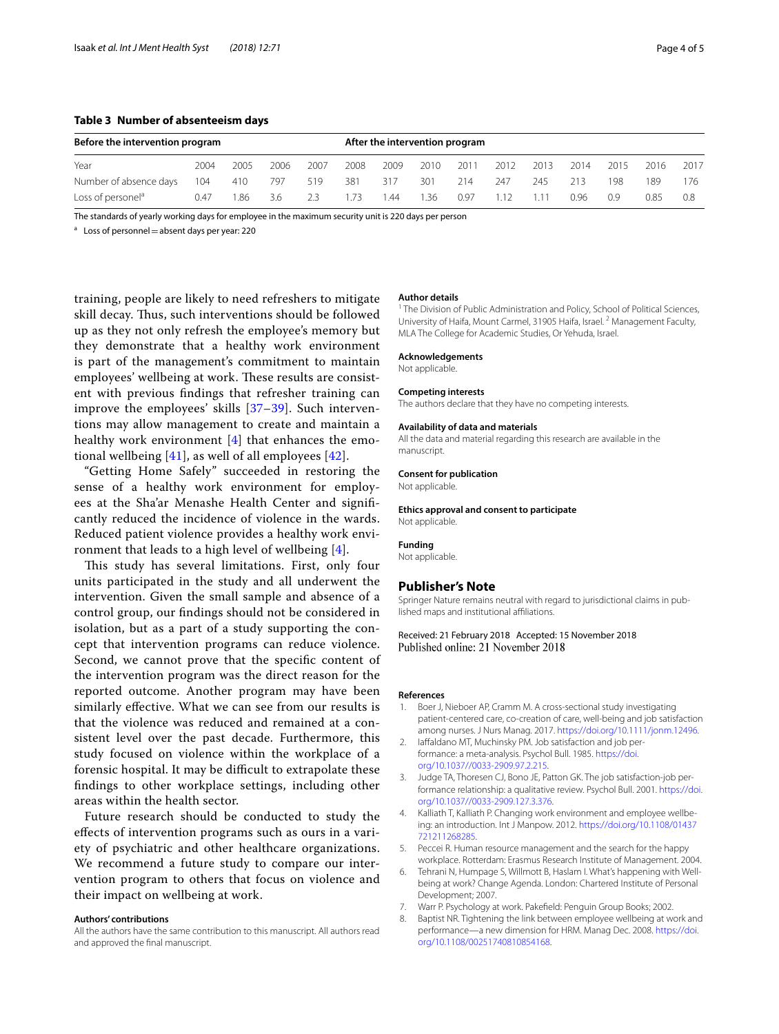#### <span id="page-3-5"></span>**Table 3 Number of absenteeism days**

| Before the intervention program | After the intervention program |      |      |      |      |      |       |      |      |      |      |      |      |      |
|---------------------------------|--------------------------------|------|------|------|------|------|-------|------|------|------|------|------|------|------|
|                                 |                                |      |      |      |      |      |       |      |      |      |      |      |      |      |
| Year                            | 2004                           | 2005 | 2006 | 2007 | 2008 | 2009 | 2010  | 2011 | 2012 | 2013 | 2014 | 2015 | 2016 | 2017 |
| Number of absence days          | 104                            | 410  | 797  | 519  | 381  | 317  | 301   | 214  | 247  | 245  | 213  | 198  | 189  | 176  |
| Loss of personel <sup>a</sup>   | 0.47                           | 1.86 | 3.6  | 2.3  | .73  | 1.44 | . .36 | 0.97 |      |      | 0.96 | 0.9  | 0.85 | 0.8  |

The standards of yearly working days for employee in the maximum security unit is 220 days per person

 $a$  Loss of personnel = absent days per year: 220

training, people are likely to need refreshers to mitigate skill decay. Thus, such interventions should be followed up as they not only refresh the employee's memory but they demonstrate that a healthy work environment is part of the management's commitment to maintain employees' wellbeing at work. These results are consistent with previous fndings that refresher training can improve the employees' skills [\[37](#page-4-24)[–39\]](#page-4-25). Such interventions may allow management to create and maintain a healthy work environment [[4\]](#page-3-1) that enhances the emotional wellbeing [\[41\]](#page-4-27), as well of all employees [\[42](#page-4-28)].

"Getting Home Safely" succeeded in restoring the sense of a healthy work environment for employees at the Sha'ar Menashe Health Center and signifcantly reduced the incidence of violence in the wards. Reduced patient violence provides a healthy work environment that leads to a high level of wellbeing [[4\]](#page-3-1).

This study has several limitations. First, only four units participated in the study and all underwent the intervention. Given the small sample and absence of a control group, our fndings should not be considered in isolation, but as a part of a study supporting the concept that intervention programs can reduce violence. Second, we cannot prove that the specifc content of the intervention program was the direct reason for the reported outcome. Another program may have been similarly efective. What we can see from our results is that the violence was reduced and remained at a consistent level over the past decade. Furthermore, this study focused on violence within the workplace of a forensic hospital. It may be difficult to extrapolate these fndings to other workplace settings, including other areas within the health sector.

Future research should be conducted to study the efects of intervention programs such as ours in a variety of psychiatric and other healthcare organizations. We recommend a future study to compare our intervention program to others that focus on violence and their impact on wellbeing at work.

#### **Authors' contributions**

All the authors have the same contribution to this manuscript. All authors read and approved the fnal manuscript.

#### **Author details**

<sup>1</sup> The Division of Public Administration and Policy, School of Political Sciences, University of Haifa, Mount Carmel, 31905 Haifa, Israel. <sup>2</sup> Management Faculty, MLA The College for Academic Studies, Or Yehuda, Israel.

#### **Acknowledgements**

Not applicable.

#### **Competing interests**

The authors declare that they have no competing interests.

#### **Availability of data and materials**

All the data and material regarding this research are available in the manuscript.

#### **Consent for publication**

Not applicable.

#### **Ethics approval and consent to participate**

Not applicable.

### **Funding**

Not applicable.

#### **Publisher's Note**

Springer Nature remains neutral with regard to jurisdictional claims in published maps and institutional afliations.

Received: 21 February 2018 Accepted: 15 November 2018 Published online: 21 November 2018

### **References**

- <span id="page-3-0"></span>1. Boer J, Nieboer AP, Cramm M. A cross-sectional study investigating patient-centered care, co-creation of care, well-being and job satisfaction among nurses. J Nurs Manag. 2017.<https://doi.org/10.1111/jonm.12496>.
- 2. laffaldano MT, Muchinsky PM. Job satisfaction and job performance: a meta-analysis. Psychol Bull. 1985. [https://doi.](https://doi.org/10.1037//0033-2909.97.2.215) [org/10.1037//0033-2909.97.2.215](https://doi.org/10.1037//0033-2909.97.2.215).
- 3. Judge TA, Thoresen CJ, Bono JE, Patton GK. The job satisfaction-job performance relationship: a qualitative review. Psychol Bull. 2001. [https://doi.](https://doi.org/10.1037//0033-2909.127.3.376) [org/10.1037//0033-2909.127.3.376](https://doi.org/10.1037//0033-2909.127.3.376).
- <span id="page-3-1"></span>4. Kalliath T, Kalliath P. Changing work environment and employee wellbeing: an introduction. Int J Manpow. 2012. [https://doi.org/10.1108/01437](https://doi.org/10.1108/01437721211268285) [721211268285.](https://doi.org/10.1108/01437721211268285)
- <span id="page-3-2"></span>5. Peccei R. Human resource management and the search for the happy workplace. Rotterdam: Erasmus Research Institute of Management. 2004.
- 6. Tehrani N, Humpage S, Willmott B, Haslam I. What's happening with Wellbeing at work? Change Agenda. London: Chartered Institute of Personal Development; 2007.
- <span id="page-3-3"></span>7. Warr P. Psychology at work. Pakefeld: Penguin Group Books; 2002.
- <span id="page-3-4"></span>8. Baptist NR. Tightening the link between employee wellbeing at work and performance—a new dimension for HRM. Manag Dec. 2008. [https://doi.](https://doi.org/10.1108/00251740810854168) [org/10.1108/00251740810854168.](https://doi.org/10.1108/00251740810854168)